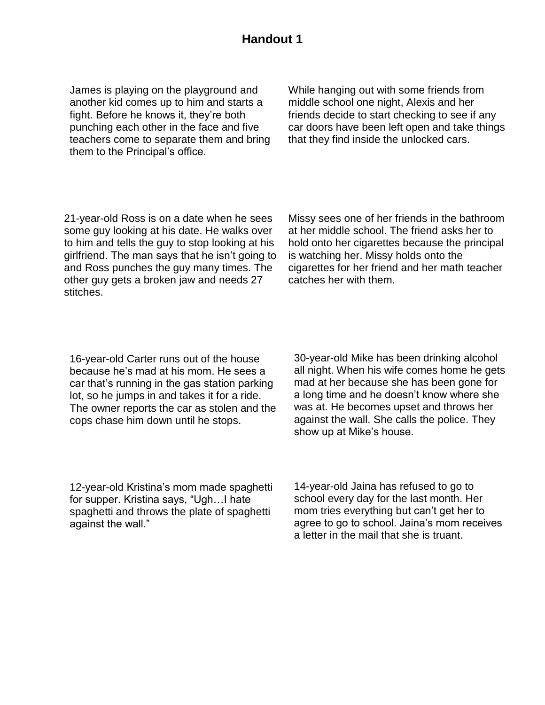## **Handout 1**

James is playing on the playground and another kid comes up to him and starts a fight. Before he knows it, they're both punching each other in the face and five teachers come to separate them and bring them to the Principal's office.

While hanging out with some friends from middle school one night, Alexis and her friends decide to start checking to see if any car doors have been left open and take things that they find inside the unlocked cars.

21-year-old Ross is on a date when he sees some guy looking at his date. He walks over to him and tells the guy to stop looking at his girlfriend. The man says that he isn't going to and Ross punches the guy many times. The other guy gets a broken jaw and needs 27 stitches.

Missy sees one of her friends in the bathroom at her middle school. The friend asks her to hold onto her cigarettes because the principal is watching her. Missy holds onto the cigarettes for her friend and her math teacher catches her with them.

16-year-old Carter runs out of the house because he's mad at his mom. He sees a car that's running in the gas station parking lot, so he jumps in and takes it for a ride. The owner reports the car as stolen and the cops chase him down until he stops.

30-year-old Mike has been drinking alcohol all night. When his wife comes home he gets mad at her because she has been gone for a long time and he doesn't know where she was at. He becomes upset and throws her against the wall. She calls the police. They show up at Mike's house.

12-year-old Kristina's mom made spaghetti for supper. Kristina says, "Ugh…I hate spaghetti and throws the plate of spaghetti against the wall."

14-year-old Jaina has refused to go to school every day for the last month. Her mom tries everything but can't get her to agree to go to school. Jaina's mom receives a letter in the mail that she is truant.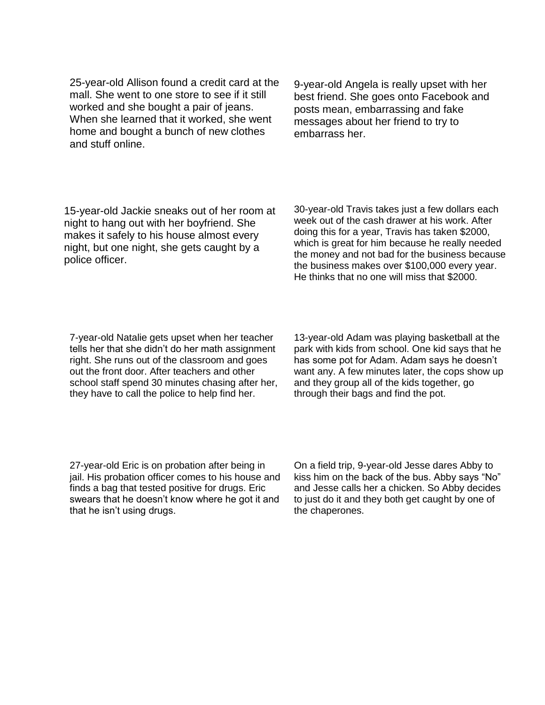25-year-old Allison found a credit card at the mall. She went to one store to see if it still worked and she bought a pair of jeans. When she learned that it worked, she went home and bought a bunch of new clothes and stuff online.

9-year-old Angela is really upset with her best friend. She goes onto Facebook and posts mean, embarrassing and fake messages about her friend to try to embarrass her.

15-year-old Jackie sneaks out of her room at night to hang out with her boyfriend. She makes it safely to his house almost every night, but one night, she gets caught by a police officer.

30-year-old Travis takes just a few dollars each week out of the cash drawer at his work. After doing this for a year, Travis has taken \$2000, which is great for him because he really needed the money and not bad for the business because the business makes over \$100,000 every year. He thinks that no one will miss that \$2000.

7-year-old Natalie gets upset when her teacher tells her that she didn't do her math assignment right. She runs out of the classroom and goes out the front door. After teachers and other school staff spend 30 minutes chasing after her, they have to call the police to help find her.

13-year-old Adam was playing basketball at the park with kids from school. One kid says that he has some pot for Adam. Adam says he doesn't want any. A few minutes later, the cops show up and they group all of the kids together, go through their bags and find the pot.

27-year-old Eric is on probation after being in jail. His probation officer comes to his house and finds a bag that tested positive for drugs. Eric swears that he doesn't know where he got it and that he isn't using drugs.

On a field trip, 9-year-old Jesse dares Abby to kiss him on the back of the bus. Abby says "No" and Jesse calls her a chicken. So Abby decides to just do it and they both get caught by one of the chaperones.